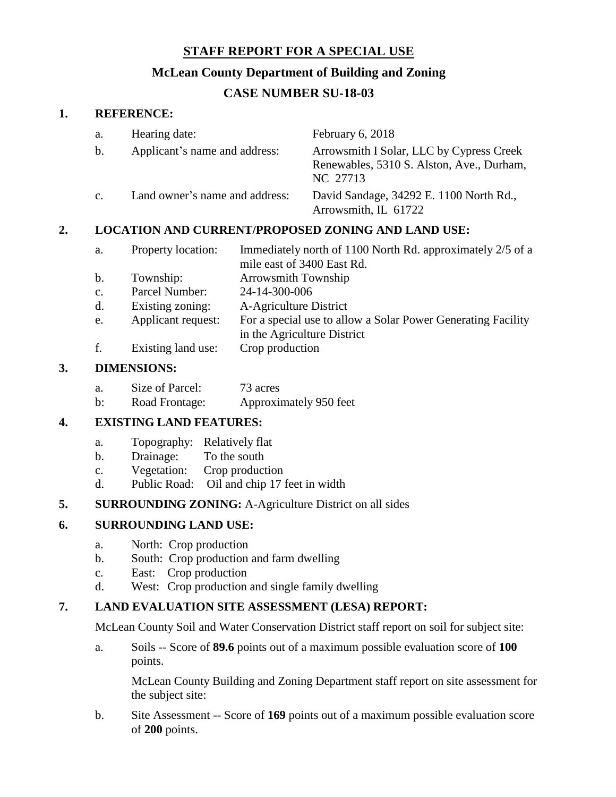## **STAFF REPORT FOR A SPECIAL USE**

### **McLean County Department of Building and Zoning**

# **CASE NUMBER SU-18-03**

#### **1. REFERENCE:**

| a.             | Hearing date:                  | February 6, 2018                                                                                  |
|----------------|--------------------------------|---------------------------------------------------------------------------------------------------|
| b.             | Applicant's name and address:  | Arrowsmith I Solar, LLC by Cypress Creek<br>Renewables, 5310 S. Alston, Ave., Durham,<br>NC 27713 |
| $\mathbf{c}$ . | Land owner's name and address: | David Sandage, 34292 E. 1100 North Rd.,<br>Arrowsmith, IL 61722                                   |

### **2. LOCATION AND CURRENT/PROPOSED ZONING AND LAND USE:**

| a. | Property location: | Immediately north of 1100 North Rd. approximately 2/5 of a |
|----|--------------------|------------------------------------------------------------|
|    |                    | mile east of 3400 East Rd.                                 |
| b. | Township:          | <b>Arrowsmith Township</b>                                 |

- c. Parcel Number: 24-14-300-006
- d. Existing zoning: A-Agriculture District
- e. Applicant request: For a special use to allow a Solar Power Generating Facility
	- in the Agriculture District
- f. Existing land use: Crop production

### **3. DIMENSIONS:**

| а. | Size of Parcel: | 73 acres               |
|----|-----------------|------------------------|
| b: | Road Frontage:  | Approximately 950 feet |

#### **4. EXISTING LAND FEATURES:**

- a. Topography: Relatively flat
- b. Drainage: To the south
- c. Vegetation: Crop production
- d. Public Road: Oil and chip 17 feet in width

### **5. SURROUNDING ZONING:** A-Agriculture District on all sides

#### **6. SURROUNDING LAND USE:**

- a. North: Crop production
- b. South: Crop production and farm dwelling
- c. East: Crop production
- d. West: Crop production and single family dwelling

### **7. LAND EVALUATION SITE ASSESSMENT (LESA) REPORT:**

McLean County Soil and Water Conservation District staff report on soil for subject site:

a. Soils -- Score of **89.6** points out of a maximum possible evaluation score of **100** points.

McLean County Building and Zoning Department staff report on site assessment for the subject site:

b. Site Assessment -- Score of **169** points out of a maximum possible evaluation score of **200** points.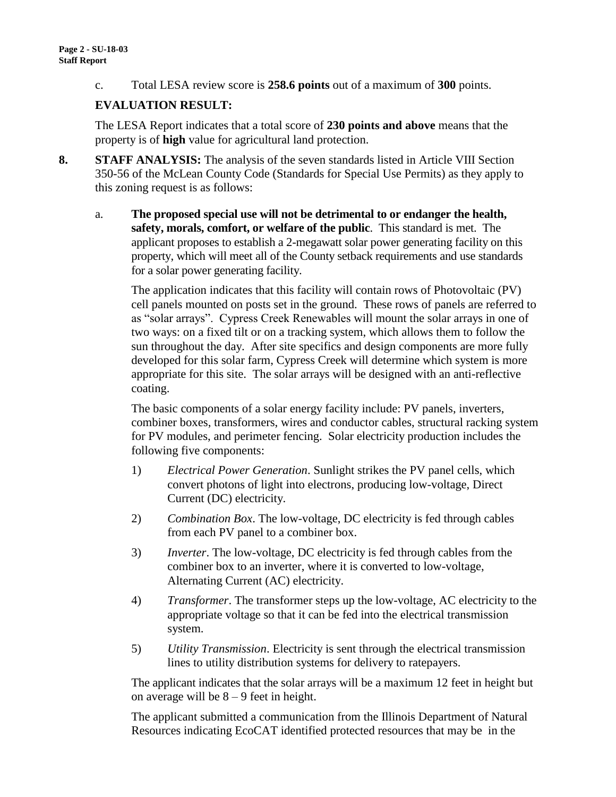c. Total LESA review score is **258.6 points** out of a maximum of **300** points.

### **EVALUATION RESULT:**

The LESA Report indicates that a total score of **230 points and above** means that the property is of **high** value for agricultural land protection.

- **8. STAFF ANALYSIS:** The analysis of the seven standards listed in Article VIII Section 350-56 of the McLean County Code (Standards for Special Use Permits) as they apply to this zoning request is as follows:
	- a. **The proposed special use will not be detrimental to or endanger the health, safety, morals, comfort, or welfare of the public**. This standard is met. The applicant proposes to establish a 2-megawatt solar power generating facility on this property, which will meet all of the County setback requirements and use standards for a solar power generating facility.

The application indicates that this facility will contain rows of Photovoltaic (PV) cell panels mounted on posts set in the ground. These rows of panels are referred to as "solar arrays". Cypress Creek Renewables will mount the solar arrays in one of two ways: on a fixed tilt or on a tracking system, which allows them to follow the sun throughout the day. After site specifics and design components are more fully developed for this solar farm, Cypress Creek will determine which system is more appropriate for this site. The solar arrays will be designed with an anti-reflective coating.

The basic components of a solar energy facility include: PV panels, inverters, combiner boxes, transformers, wires and conductor cables, structural racking system for PV modules, and perimeter fencing. Solar electricity production includes the following five components:

- 1) *Electrical Power Generation*. Sunlight strikes the PV panel cells, which convert photons of light into electrons, producing low-voltage, Direct Current (DC) electricity.
- 2) *Combination Box*. The low-voltage, DC electricity is fed through cables from each PV panel to a combiner box.
- 3) *Inverter*. The low-voltage, DC electricity is fed through cables from the combiner box to an inverter, where it is converted to low-voltage, Alternating Current (AC) electricity.
- 4) *Transformer*. The transformer steps up the low-voltage, AC electricity to the appropriate voltage so that it can be fed into the electrical transmission system.
- 5) *Utility Transmission*. Electricity is sent through the electrical transmission lines to utility distribution systems for delivery to ratepayers.

The applicant indicates that the solar arrays will be a maximum 12 feet in height but on average will be  $8 - 9$  feet in height.

The applicant submitted a communication from the Illinois Department of Natural Resources indicating EcoCAT identified protected resources that may be in the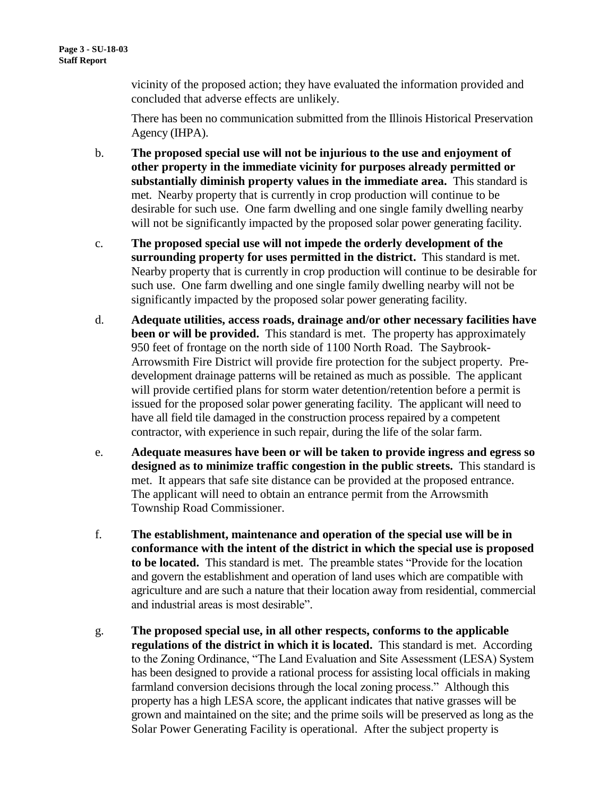vicinity of the proposed action; they have evaluated the information provided and concluded that adverse effects are unlikely.

There has been no communication submitted from the Illinois Historical Preservation Agency (IHPA).

- b. **The proposed special use will not be injurious to the use and enjoyment of other property in the immediate vicinity for purposes already permitted or substantially diminish property values in the immediate area.** This standard is met. Nearby property that is currently in crop production will continue to be desirable for such use. One farm dwelling and one single family dwelling nearby will not be significantly impacted by the proposed solar power generating facility.
- c. **The proposed special use will not impede the orderly development of the surrounding property for uses permitted in the district.** This standard is met. Nearby property that is currently in crop production will continue to be desirable for such use. One farm dwelling and one single family dwelling nearby will not be significantly impacted by the proposed solar power generating facility.
- d. **Adequate utilities, access roads, drainage and/or other necessary facilities have been or will be provided.** This standard is met. The property has approximately 950 feet of frontage on the north side of 1100 North Road. The Saybrook-Arrowsmith Fire District will provide fire protection for the subject property. Predevelopment drainage patterns will be retained as much as possible. The applicant will provide certified plans for storm water detention/retention before a permit is issued for the proposed solar power generating facility. The applicant will need to have all field tile damaged in the construction process repaired by a competent contractor, with experience in such repair, during the life of the solar farm.
- e. **Adequate measures have been or will be taken to provide ingress and egress so designed as to minimize traffic congestion in the public streets.** This standard is met. It appears that safe site distance can be provided at the proposed entrance. The applicant will need to obtain an entrance permit from the Arrowsmith Township Road Commissioner.
- f. **The establishment, maintenance and operation of the special use will be in conformance with the intent of the district in which the special use is proposed to be located.** This standard is met. The preamble states "Provide for the location and govern the establishment and operation of land uses which are compatible with agriculture and are such a nature that their location away from residential, commercial and industrial areas is most desirable".
- g. **The proposed special use, in all other respects, conforms to the applicable regulations of the district in which it is located.** This standard is met. According to the Zoning Ordinance, "The Land Evaluation and Site Assessment (LESA) System has been designed to provide a rational process for assisting local officials in making farmland conversion decisions through the local zoning process." Although this property has a high LESA score, the applicant indicates that native grasses will be grown and maintained on the site; and the prime soils will be preserved as long as the Solar Power Generating Facility is operational. After the subject property is